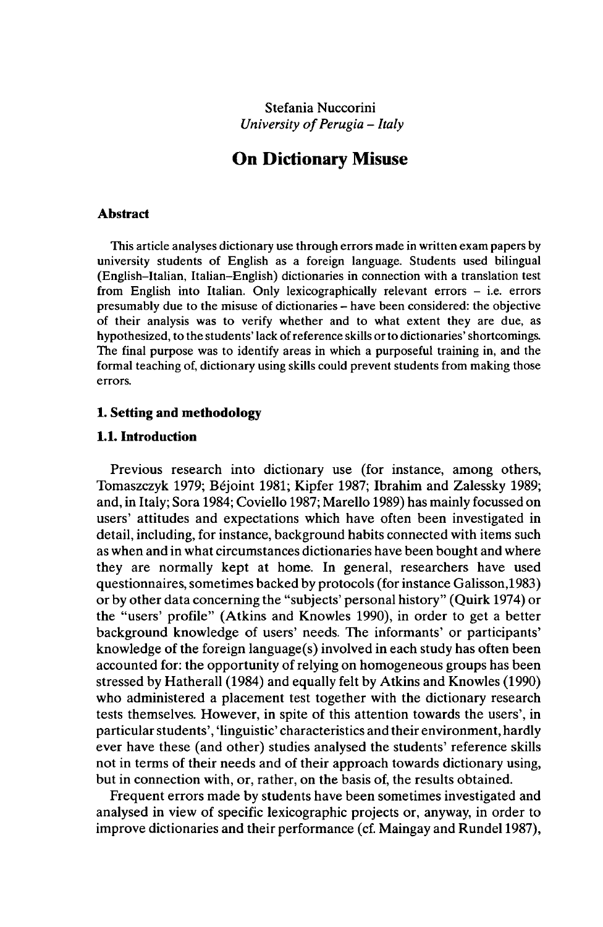Stefania Nuccorini *<i>University of Perugia* – Italy

# **On Dictionary Misuse**

#### **Abstract**

This article analyses dictionary use through errors made in written exam papers by university students of English as a foreign language. Students used bilingual (English-Italian, Italian-English) dictionaries in connection with a translation test from English into Italian. Only lexicographically relevant errors - i.e. errors presumably due to the misuse of dictionaries - have been considered: the objective of their analysis was to verify whether and to what extent they are due, as hypothesized, to the students' lack of reference skills or to dictionaries' shortcomings. The final purpose was to identify areas in which a purposeful training in, and the formal teaching of, dictionary using skills could prevent students from making those errors.

## **1. Setting and methodology**

## **1.1. Introduction**

Previous research into dictionary use (for instance, among others, Tomaszczyk 1979; Béjoint 1981; Kipfer 1987; Ibrahim and Zalessky 1989; and, in Italy; Sora 1984; Coviello 1987; Marello 1989) has mainly focussed on users' attitudes and expectations which have often been investigated in detail, including, for instance, background habits connected with items such as when and in what circumstances dictionaries have been bought and where they are normally kept at home. In general, researchers have used questionnaires, sometimes backed by protocols (for instance Galisson,1983) or by other data concerning the "subjects' personal history" (Quirk 1974) or the "users' profile" (Atkins and Knowles 1990), in order to get a better background knowledge of users' needs. The informants' or participants' knowledge of the foreign language(s) involved in each study has often been accounted for: the opportunity of relying on homogeneous groups has been stressed by Hatherall (1984) and equally felt by Atkins and Knowles (1990) who administered a placement test together with the dictionary research tests themselves. However, in spite of this attention towards the users', in particular students', 'linguistic' characteristics and their environment, hardly ever have these (and other) studies analysed the students' reference skills not in terms of their needs and of their approach towards dictionary using, but in connection with, or, rather, on the basis of, the results obtained.

Frequent errors made by students have been sometimes investigated and analysed in view of specific lexicographic projects or, anyway, in order to improve dictionaries and their performance (cf. Maingay and Rundel 1987),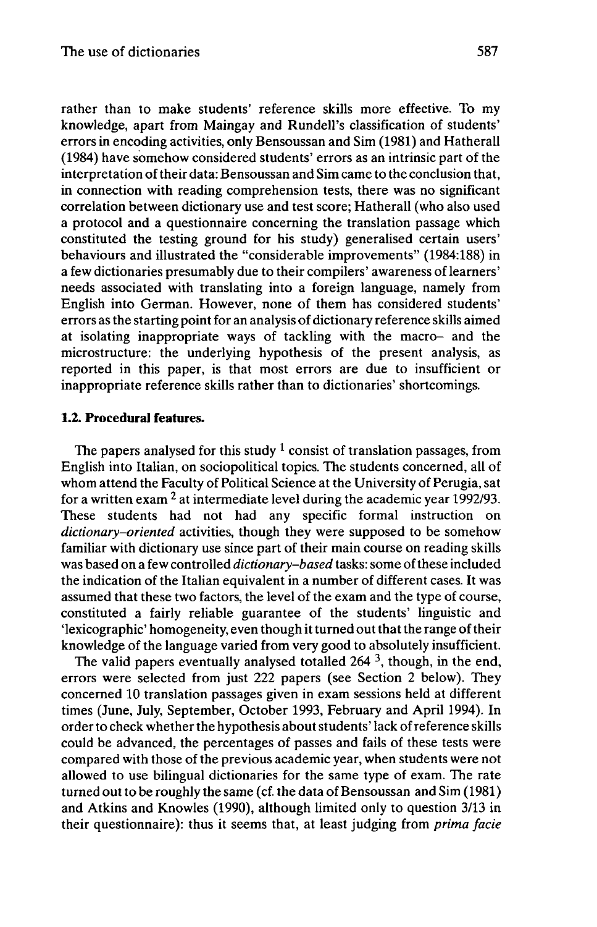rather than to make students' reference skills more effective. To my knowledge, apart from Maingay and Rundell's classification of students' errors in encoding activities, only Bensoussan and Sim (1981) and Hatherall (1984) have somehow considered students' errors as an intrinsic part of the interpretation of their data: Bensoussan and Sim came to the conclusion that, in connection with reading comprehension tests, there was no significant correlation between dictionary use and test score; Hatherall (who also used a protocol and a questionnaire concerning the translation passage which constituted the testing ground for his study) generalised certain users' behaviours and illustrated the "considerable improvements" (1984:188) in a few dictionaries presumably due to their compilers' awareness of learners' needs associated with translating into a foreign language, namely from English into German. However, none of them has considered students' errors as the starting point for an analysis of dictionary reference skills aimed at isolating inappropriate ways of tackling with the macro- and the microstructure: the underlying hypothesis of the present analysis, as reported in this paper, is that most errors are due to insufficient or inappropriate reference skills rather than to dictionaries' shortcomings.

## **1.2. Procedural features.**

The papers analysed for this study  $1$  consist of translation passages, from English into Italian, on sociopolitical topics. The students concerned, all of whom attend the Faculty of Political Science at the University of Perugia, sat for a written exam  $^2$  at intermediate level during the academic year 1992/93. These students had not had any specific formal instruction on *dictionary-oriented* activities, though they were supposed to be somehow familiar with dictionary use since part of their main course on reading skills was based on a few controlled *dictionary-based* tasks: some ofthese included the indication of the Italian equivalent in a number of different cases. It was assumed that these two factors, the level of the exam and the type of course, constituted a fairly reliable guarantee of the students' linguistic and 'lexicographic' homogeneity, even though it turned out that the range of their knowledge of the language varied from very good to absolutely insufficient.

The valid papers eventually analysed totalled 264<sup>3</sup>, though, in the end, errors were selected from just 222 papers (see Section 2 below). They concerned 10 translation passages given in exam sessions held at different times (June, July, September, October 1993, February and April 1994). In order to check whether the hypothesis aboutstudents' lack ofreference skills could be advanced, the percentages of passes and fails of these tests were compared with those of the previous academic year, when students were not allowed to use bilingual dictionaries for the same type of exam. The rate turned out to be roughly the same (cf. the data of Bensoussan and Sim (1981) and Atkins and Knowles (1990), although limited only to question 3/13 in their questionnaire): thus it seems that, at least judging from *prima facie*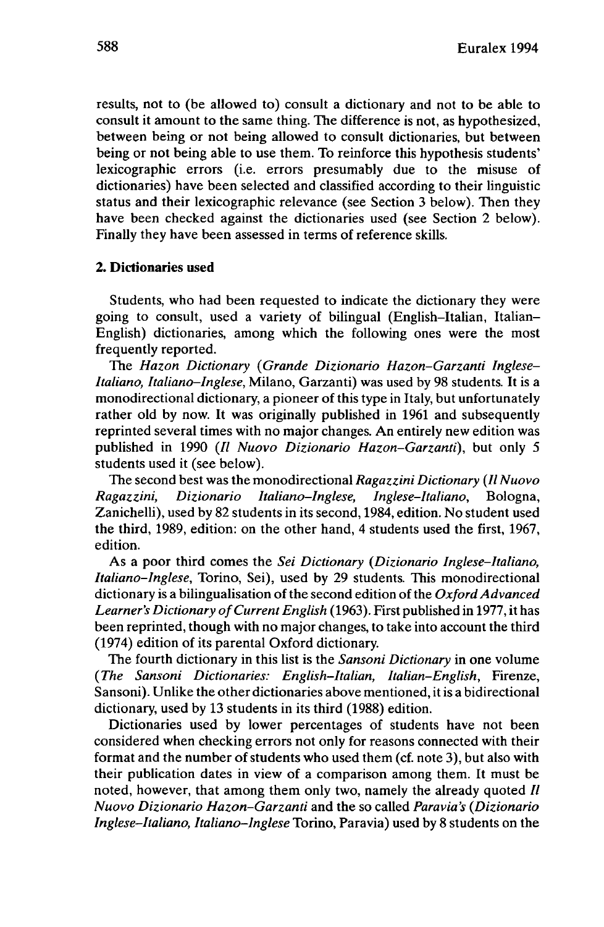results, not to (be allowed to) consult a dictionary and not to be able to consult it amount to the same thing. The difference is not, as hypothesized, between being or not being allowed to consult dictionaries, but between being or not being able to use them. To reinforce this hypothesis students' lexicographic errors (i.e. errors presumably due to the misuse of dictionaries) have been selected and classified according to their linguistic status and their lexicographic relevance (see Section 3 below). Then they have been checked against the dictionaries used (see Section 2 below). Finally they have been assessed in terms of reference skills.

### **2. Dictionaries used**

Students, who had been requested to indicate the dictionary they were going to consult, used a variety of bilingual (English-Italian, Italian-English) dictionaries, among which the following ones were the most frequently reported.

The *Hazon Dictionary {Grande Dizionario Hazon-Garzanti Inglese-Italiano, Italiano-Inglese,* Milano, Garzanti) was used by 98 students. It is a monodirectional dictionary, a pioneer of this type in Italy, but unfortunately rather old by now. It was originally published in 1961 and subsequently reprinted several times with no major changes. An entirely new edition was published in 1990 (// *Nuovo Dizionario Hazon-Garzanti),* but only 5 students used it (see below).

The second best was the monodirectional *Ragazzini Dictionary (IINuovo Ragazzini, Dizionario Italiano-Inglese, Inglese-Italiano,* Bologna, Zanichelli), used by 82 students in its second, 1984, edition. No student used the third, 1989, edition: on the other hand, 4 students used the first, 1967, edition.

As a poor third comes the *Sei Dictionary (Dizionario Inglese-Italiano, Italiano-Inglese,* Torino, Sei), used by 29 students. This monodirectional dictionary is a bilingualisation of the second edition of the *Oxford Advanced Learner's Dictionary ofCurrent English* (1963). First published in 1977, it has been reprinted, though with no major changes, to take into account the third (1974) edition of its parental Oxford dictionary.

The fourth dictionary in this list is the *Sansoni Dictionary* in one volume *(The •ansoni Dictionaries: English-Italian, Italian-English,* Firenze, Sansoni). Unlike the other dictionaries above mentioned, it is a bidirectional dictionary, used by 13 students in its third (1988) edition.

Dictionaries used by lower percentages of students have not been considered when checking errors not only for reasons connected with their format and the number of students who used them (cf. note 3), but also with their publication dates in view of a comparison among them. It must be noted, however, that among them only two, namely the already quoted  $II$ *Nuovo Dizionario Hazon-Garzanti* and the so called *Paravia's (Dizionario Inglese-Italiano, Italiano-Inglese* Torino, Paravia) used by 8 students on the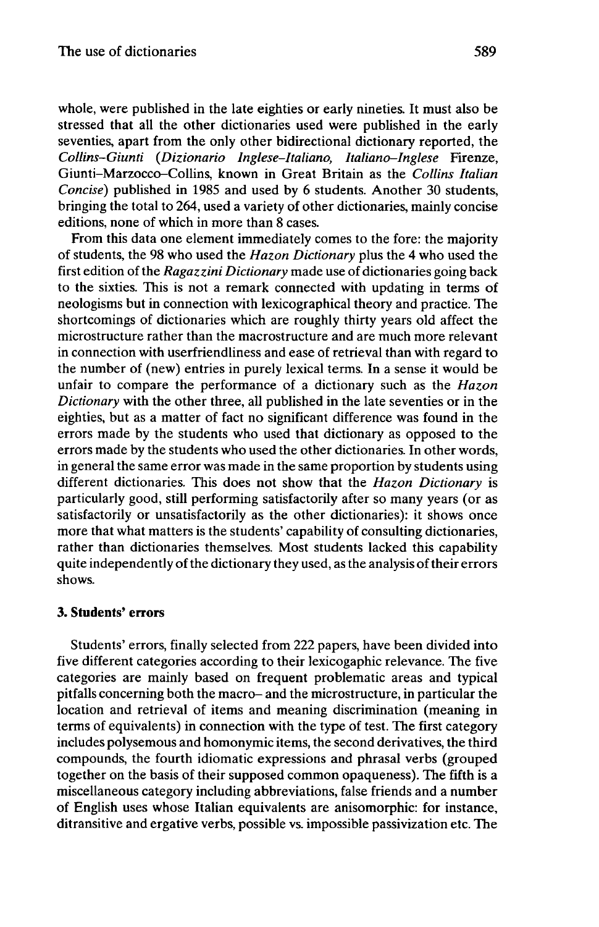whole, were published in the late eighties or early nineties. It must also be stressed that all the other dictionaries used were published in the early seventies, apart from the only other bidirectional dictionary reported, the *Collins-Giunti (Dizionario Inglese-Italiano, Italiano-Inglese* Firenze, Giunti-Marzocco-Collins, known in Great Britain as the *Collins Italian Concise)* published in 1985 and used by 6 students. Another 30 students, bringing the total to 264, used a variety of other dictionaries, mainly concise editions, none of which in more than 8 cases.

From this data one element immediately comes to the fore: the majority of students, the 98 who used the *Hazon Dictionary* plus the 4 who used the first edition of the *Ragazzini Dictionary* made use of dictionaries going back to the sixties. This is not a remark connected with updating in terms of neologisms but in connection with lexicographical theory and practice. The shortcomings of dictionaries which are roughly thirty years old affect the microstructure rather than the macrostructure and are much more relevant in connection with userfriendliness and ease of retrieval than with regard to the number of (new) entries in purely lexical terms. In a sense it would be unfair to compare the performance of a dictionary such as the *Hazon Dictionary* with the other three, all published in the late seventies or in the eighties, but as a matter of fact no significant difference was found in the errors made by the students who used that dictionary as opposed to the errors made by the students who used the other dictionaries. In other words, in general the same error was made in the same proportion by students using different dictionaries. This does not show that the *Hazon Dictionary* is particularly good, still performing satisfactorily after so many years (or as satisfactorily or unsatisfactorily as the other dictionaries): it shows once more that what matters is the students' capability of consulting dictionaries, rather than dictionaries themselves. Most students lacked this capability quite independently of the dictionary they used, as the analysis of their errors shows.

## **3. Students' errors**

Students' errors, finally selected from 222 papers, have been divided into five different categories according to their lexicogaphic relevance. The five categories are mainly based on frequent problematic areas and typical pitfalls concerning both the macro- and the microstructure, in particular the location and retrieval of items and meaning discrimination (meaning in terms of equivalents) in connection with the type of test. The first category includes polysemous and homonymie items, the second derivatives, the third compounds, the fourth idiomatic expressions and phrasal verbs (grouped together on the basis of their supposed common opaqueness). The fifth is a miscellaneous category including abbreviations, false friends and a number of English uses whose Italian equivalents are anisomorphic: for instance, ditransitive and ergative verbs, possible vs. impossible passivization etc. The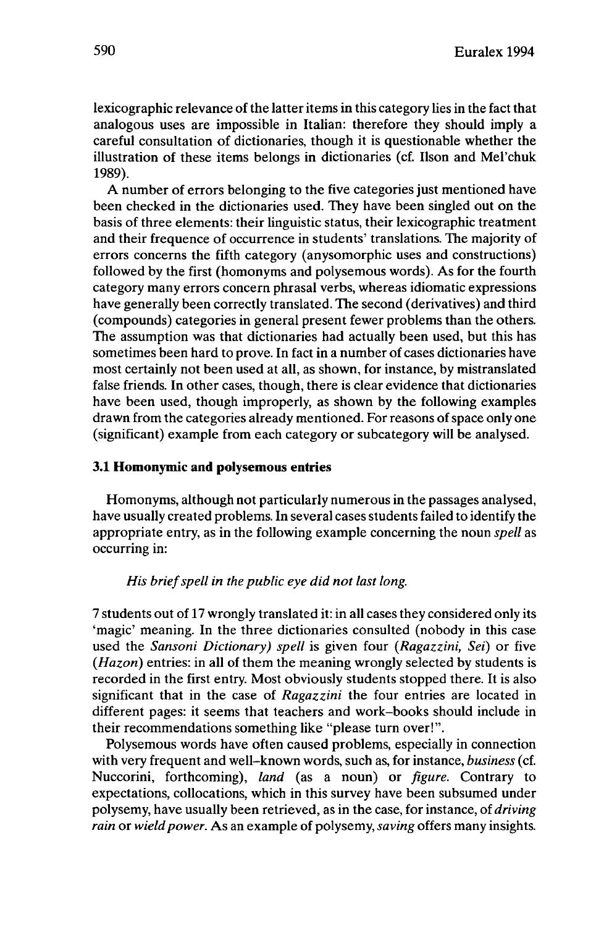lexicographic relevance of the latter items in this category lies in the fact that analogous uses are impossible in Italian: therefore they should imply a careful consultation of dictionaries, though it is questionable whether the illustration of these items belongs in dictionaries (cf. Ilson and Mel'chuk 1989).

A number of errors belonging to the five categories just mentioned have been checked in the dictionaries used. They have been singled out on the basis of three elements: their linguistic status, their lexicographic treatment and their frequence of occurrence in students' translations. The majority of errors concerns the fifth category (anysomorphic uses and constructions) followed by the first (homonyms and polysemous words). As for the fourth category many errors concern phrasal verbs, whereas idiomatic expressions have generally been correctly translated. The second (derivatives) and third (compounds) categories in general present fewer problems than the others. The assumption was that dictionaries had actually been used, but this has sometimes been hard to prove. In fact in a number of cases dictionaries have most certainly not been used at all, as shown, for instance, by mistranslated false friends. In other cases, though, there is clear evidence that dictionaries have been used, though improperly, as shown by the following examples drawn from the categories already mentioned. For reasons of space only one (significant) example from each category or subcategory will be analysed.

## **3.1 Homonymie and polysemous entries**

Homonyms, although not particularly numerous in the passages analysed, have usually created problems. In several cases students failed to identify the appropriate entry, as in the following example concerning the noun *spell* as occurring in:

## *His briefspell in the public eye did not last long.*

7 students out of 17 wrongly translated it: in all cases they considered only its 'magic' meaning. In the three dictionaries consulted (nobody in this case used the *•ansoni Dictionary) spell* is given four *(Ragazzini, Sei)* or five *(Hazon)* entries: in all of them the meaning wrongly selected by students is recorded in the first entry. Most obviously students stopped there. It is also significant that in the case of *Ragazzini* the four entries are located in different pages: it seems that teachers and work-books should include in their recommendations something like "please turn over!".

Polysemous words have often caused problems, especially in connection with very frequent and well-known words, such as, for instance, *business* (cf. Nuccorini, forthcoming), *land* (as a noun) or *figure.* Contrary to expectations, collocations, which in this survey have been subsumed under polysemy, have usually been retrieved, as in the case, for instance, of *driving rain* or *wield power*. As an example of polysemy, *saving* offers many insights.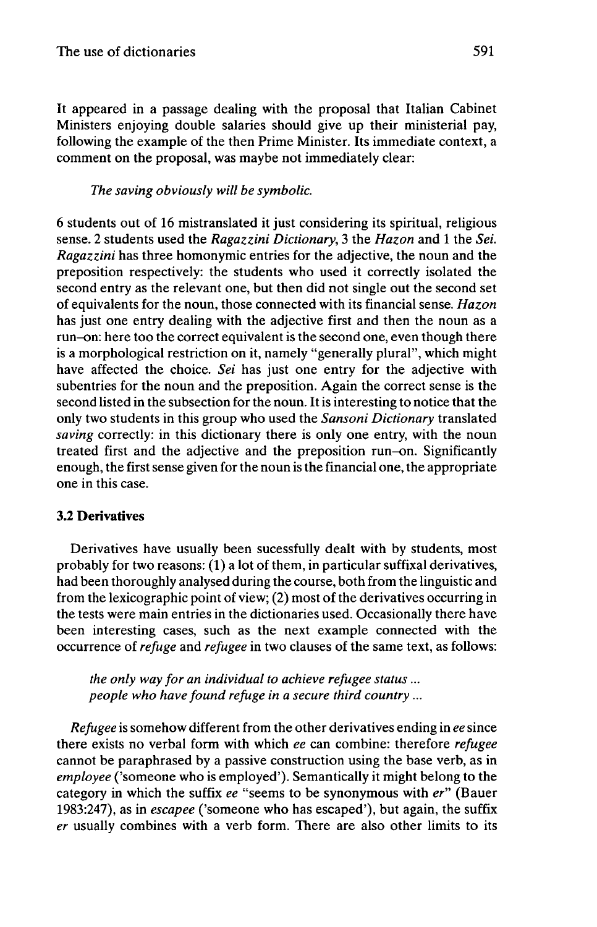It appeared in a passage dealing with the proposal that Italian Cabinet Ministers enjoying double salaries should give up their ministerial pay, following the example of the then Prime Minister. Its immediate context, a comment on the proposal, was maybe not immediately clear:

## *The saving obviously will be symbolic.*

6 students out of 16 mistranslated it just considering its spiritual, religious sense. 2 students used the *Ragazzini Dictionary,* 3 the *Hazon* and <sup>1</sup> the *Sei. Ragazzini* has three homonymie entries for the adjective, the noun and the preposition respectively: the students who used it correctly isolated the second entry as the relevant one, but then did not single out the second set of equivalents for the noun, those connected with its financial sense. *Hazon* has just one entry dealing with the adjective first and then the noun as a run-on: here too the correct equivalentis the second one, even though there is a morphological restriction on it, namely "generally plural", which might have affected the choice. *Sei* has just one entry for the adjective with subentries for the noun and the preposition. Again the correct sense is the second listed in the subsection for the noun. It is interesting to notice that the only two students in this group who used the *Sansoni Dictionary* translated *saving* correctly: in this dictionary there is only one entry, with the noun treated first and the adjective and the preposition run-on. Significantly enough, the first sense given for the noun is the financial one, the appropriate one in this case.

## **3.2 Derivatives**

Derivatives have usually been sucessfully dealt with by students, most probably for two reasons: (1) a lot of them, in particular suffixal derivatives, had been thoroughly analysed during the course, both from the linguistic and from the lexicographic point of view; (2) most of the derivatives occurring in the tests were main entries in the dictionaries used. Occasionally there have been interesting cases, such as the next example connected with the occurrence of *refuge* and *refugee* in two clauses of the same text, as follows:

*the only way for an individual to achieve refugee status... people who have found refuge in a secure third country...*

*Refugee* is somehow different from the other derivatives ending in *ee* since there exists no verbal form with which *ee* can combine: therefore *refugee* cannot be paraphrased by a passive construction using the base verb, as in *employee* ('someone who is employed'). Semantically it might belong to the category in which the suffix *ee* "seems to be synonymous with er" (Bauer 1983:247), as in *escapee* ('someone who has escaped'), but again, the suffix *er* usually combines with a verb form. There are also other limits to its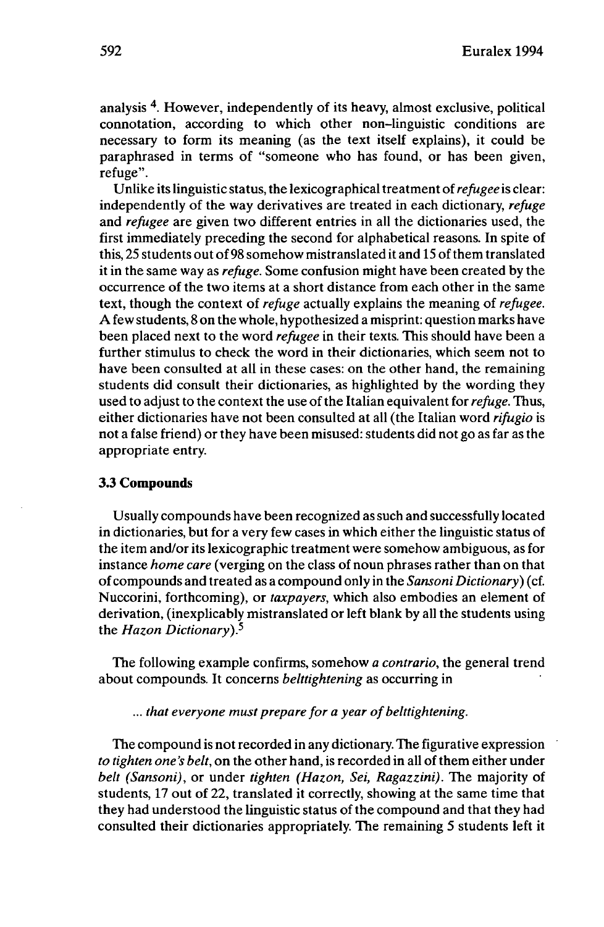analysis <sup>4</sup> . However, independently of its heavy, almost exclusive, political connotation, according to which other non-linguistic conditions are necessary to form its meaning (as the text itself explains), it could be paraphrased in terms of "someone who has found, or has been given, refuge".

Unlike its linguistic status, the lexicographical treatment of *refugee* is clear: independently of the way derivatives are treated in each dictionary, *refuge* and *refugee* are given two different entries in all the dictionaries used, the first immediately preceding the second for alphabetical reasons. In spite of this, 25 students out of 98 somehow mistranslated it and 15 of them translated itin the same way as *refuge.* Some confusion might have been created by the occurrence of the two items at a short distance from each other in the same text, though the context of *refuge* actually explains the meaning of *refugee.* A few students, 8 on the whole, hypothesized a misprint: question marks have been placed next to the word *refugee* in their texts. This should have been a further stimulus to check the word in their dictionaries, which seem not to have been consulted at all in these cases: on the other hand, the remaining students did consult their dictionaries, as highlighted by the wording they used to adjust to the context the use of the Italian equivalent for *refuge*. Thus, either dictionaries have not been consulted at all (the Italian word *rifugio* is not a false friend) or they have been misused: students did not go as far as the appropriate entry.

### **3.3 Compounds**

Usually compounds have been recognized as such and successfully located in dictionaries, but for a very few cases in which either the linguistic status of the item and/or its lexicographic treatment were somehow ambiguous, as for instance *home care* (verging on the class of noun phrases rather than on that ofcompounds and treated as a compound only in the *•ansoni Dictionary)* (cf. Nuccorini, forthcoming), or *taxpayers,* which also embodies an element of derivation, (inexplicably mistranslated or left blank by all the students using the *Hazon Dictionary)?*

The following example confirms, somehow *a contrario,* the general trend about compounds. It concerns *belttightening* as occurring in

### ... *that everyone must prepare for a year ofbelttightening.*

The compound is not recorded in any dictionary. The figurative expression *to tighten one's belt*, on the other hand, is recorded in all of them either under *belt (•ansoni),* or under *tighten (Hazon, Sei, Ragazzini).* The majority of students, 17 out of 22, translated it correctly, showing at the same time that they had understood the linguistic status of the compound and that they had consulted their dictionaries appropriately. The remaining 5 students left it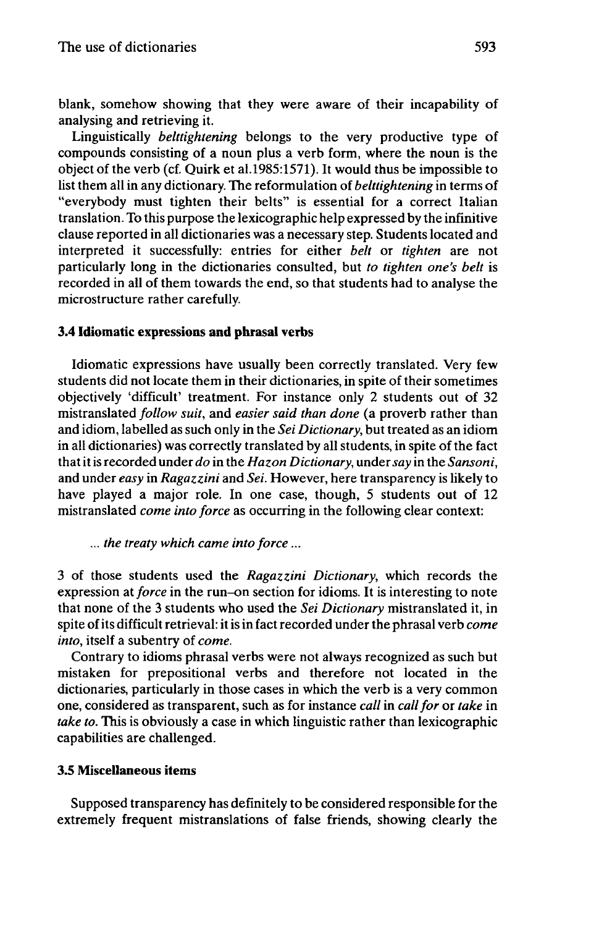blank, somehow showing that they were aware of their incapability of analysing and retrieving it.

Linguistically *belttightening* belongs to the very productive type of compounds consisting of a noun plus a verb form, where the noun is the object of the verb (cf. Quirk et al.l985:1571). It would thus be impossible to list them all in any dictionary. The reformulation of *belttightening* in terms of "everybody must tighten their belts" is essential for a correct Italian translation. To this purpose the lexicographic help expressed by the infinitive clause reported in all dictionaries was a necessary step. Students located and interpreted it successfully: entries for either *belt* or *tighten* are not particularly long in the dictionaries consulted, but *to tighten one's belt* is recorded in all of them towards the end, so that students had to analyse the microstructure rather carefully.

## **3.4 Idiomatic expressions and phrasal verbs**

Idiomatic expressions have usually been correctly translated. Very few students did not locate them in their dictionaries, in spite of their sometimes objectively 'difficult' treatment. For instance only 2 students out of 32 mistranslated *follow suit,* and *easier said than done* (a proverb rather than and idiom, labelled as such only in the *Sei Dictionary*, but treated as an idiom in all dictionaries) was correctly translated by all students, in spite of the fact thatitis recorded under *do* in the *Hazon Dictionary,* under*say* in the *•ansoni,* and under *easy* in *Ragazzini* and *Sei.* However, here transparency is likely to have played a major role. In one case, though, 5 students out of 12 mistranslated *come into force* as occurring in the following clear context:

... *the treaty which came into force...*

3 of those students used the *Ragazzini Dictionary,* which records the expression at*force* in the run-on section for idioms. It is interesting to note that none of the 3 students who used the *Sei Dictionary* mistranslated it, in spite ofits difficult retrieval: itis in fact recorded under the phrasal verb *come into,* itself a subentry of *come.*

Contrary to idioms phrasal verbs were not always recognized as such but mistaken for prepositional verbs and therefore not located in the dictionaries, particularly in those cases in which the verb is a very common one, considered as transparent, such as for instance *call* in *callfor* or *take* in *take to.* This is obviously a case in which linguistic rather than lexicographic capabilities are challenged.

## **3.5 Miscellaneous items**

Supposed transparency has definitely to be considered responsible for the extremely frequent mistranslations of false friends, showing clearly the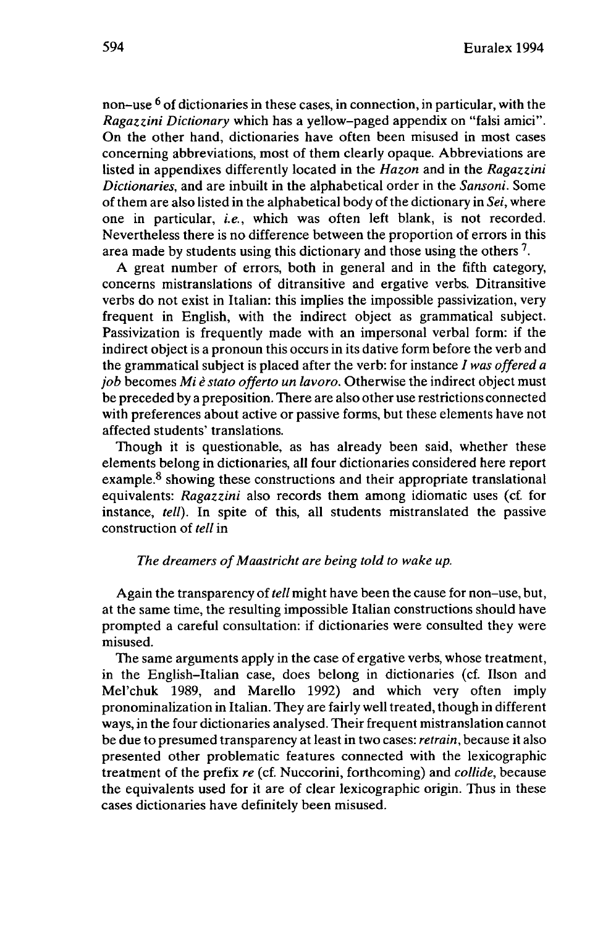non-use <sup>6</sup> of dictionaries in these cases, in connection, in particular, with the *Ragazzini Dictionary* which has a yellow-paged appendix on "falsi amici". On the other hand, dictionaries have often been misused in most cases concerning abbreviations, most of them clearly opaque. Abbreviations are listed in appendixes differently located in the *Hazon* and in the *Ragazzini Dictionaries,* and are inbuilt in the alphabetical order in the *Sansoni*. Some ofthem are also listed in the alphabetical body ofthe dictionary in *Sei,* where one in particular, *i.e.,* which was often left blank, is not recorded. Nevertheless there is no difference between the proportion of errors in this area made by students using this dictionary and those using the others  $^7$ .

A great number of errors, both in general and in the fifth category, concerns mistranslations of ditransitive and ergative verbs. Ditransitive verbs do not exist in Italian: this implies the impossible passivization, very frequent in English, with the indirect object as grammatical subject. Passivization is frequently made with an impersonal verbal form: if the indirect object is a pronoun this occurs in its dative form before the verb and the grammatical subject is placed after the verb: for instance / *was offered <sup>a</sup> job* becomes *Mi è stato offerto un lavoro.* Otherwise the indirect object must be preceded by a preposition. There are also other use restrictions connected with preferences about active or passive forms, but these elements have not affected students' translations.

Though it is questionable, as has already been said, whether these elements belong in dictionaries, all four dictionaries considered here report example.<sup>8</sup> showing these constructions and their appropriate translational equivalents: *Ragazzini* also records them among idiomatic uses (cf. for instance, *tell).* In spite of this, all students mistranslated the passive construction of *tell* in

## *The dreamers ofMaastricht are being told to wake up.*

Again the transparency of *tell* might have been the cause for non-use, but, at the same time, the resulting impossible Italian constructions should have prompted a careful consultation: if dictionaries were consulted they were misused.

The same arguments apply in the case of ergative verbs, whose treatment, in the English-Italian case, does belong in dictionaries (cf. Ilson and Mel'chuk 1989, and Marello 1992) and which very often imply pronominalization in Italian. They are fairly well treated, though in different ways, in the four dictionaries analysed. Their frequent mistranslation cannot be due to presumed transparency atleastin two cases: *retrain,* because it also presented other problematic features connected with the lexicographic treatment of the prefix *re* (cf. Nuccorini, forthcoming) and *collide,* because the equivalents used for it are of clear lexicographic origin. Thus in these cases dictionaries have definitely been misused.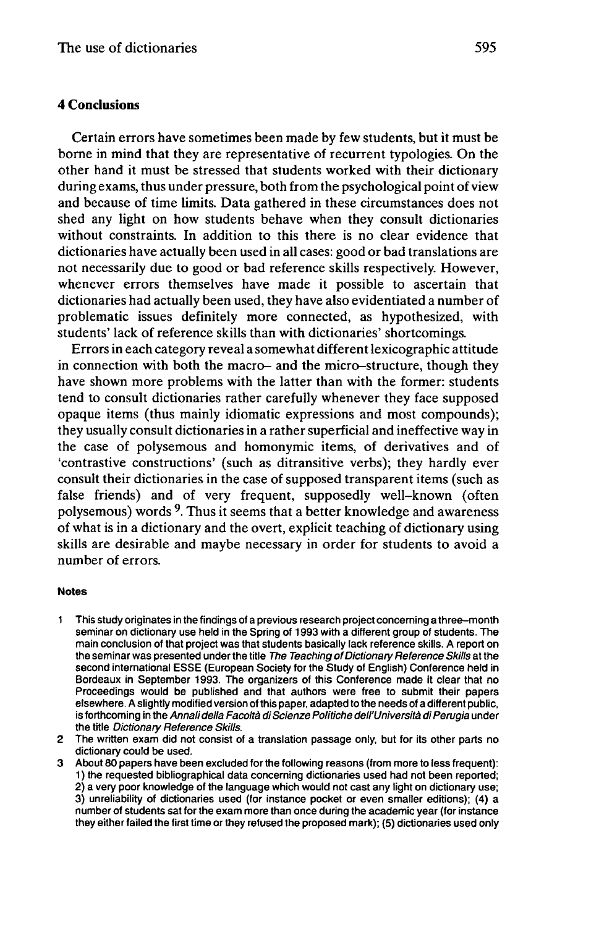### **4 Conclusions**

Certain errors have sometimes been made by few students, but it must be borne in mind that they are representative of recurrent typologies. On the other hand it must be stressed that students worked with their dictionary during exams, thus under pressure, both from the psychological point of view and because of time limits. Data gathered in these circumstances does not shed any light on how students behave when they consult dictionaries without constraints. In addition to this there is no clear evidence that dictionaries have actually been used in all cases: good or bad translations are not necessarily due to good or bad reference skills respectively. However, whenever errors themselves have made it possible to ascertain that dictionaries had actually been used, they have also evidentiated a number of problematic issues definitely more connected, as hypothesized, with students' lack of reference skills than with dictionaries' shortcomings.

Errorsin each category reveal a somewhat differentlexicographic attitude in connection with both the macro- and the micro-structure, though they have shown more problems with the latter than with the former: students tend to consult dictionaries rather carefully whenever they face supposed opaque items (thus mainly idiomatic expressions and most compounds); they usually consult dictionaries in a rather superficial and ineffective way in the case of polysemous and homonymie items, of derivatives and of 'contrastive constructions' (such as ditransitive verbs); they hardly ever consult their dictionaries in the case of supposed transparent items (such as false friends) and of very frequent, supposedly well-known (often polysemous) words <sup>9</sup>. Thus it seems that a better knowledge and awareness of what is in a dictionary and the overt, explicit teaching of dictionary using skills are desirable and maybe necessary in order for students to avoid a number of errors.

#### **Notes**

- <sup>1</sup> This study originates in the findings of a previous research project concerning a three-month seminar on dictionary use held in the Spring of 1993 with a different group of students. The main conclusion of that project was that students basically lack reference skills. A report on the seminar was presented under the title The Teaching of Dictionary Reference Skills at the second international ESSE (European Society for the Study of English) Conference held in Bordeaux in September 1993. The organizers of this Conference made it clear that no Proceedings would be published and that authors were free to submit their papers elsewhere. A slightly modified version of this paper, adapted to the needs of a different public, is forthcoming in the Annali della Facoltà di Scienze Politiche dell'Università di Perugia under the title Dictionary Reference Skills.
- 2 The written exam did not consist of a translation passage only, but for its other parts no dictionary could be used.
- 3 About 80 papers have been excluded for the following reasons (from more to less frequent): <sup>1</sup> ) the requested bibliographical data concerning dictionaries used had not been reported; 2) a very poor knowledge of the language which would not cast any light on dictionary use; 3) unreliability of dictionaries used (for instance pocket or even smaller editions); (4) a number of students sat for the exam more than once during the academic year (for instance they either failed the first time or they refused the proposed mark); (5) dictionaries used only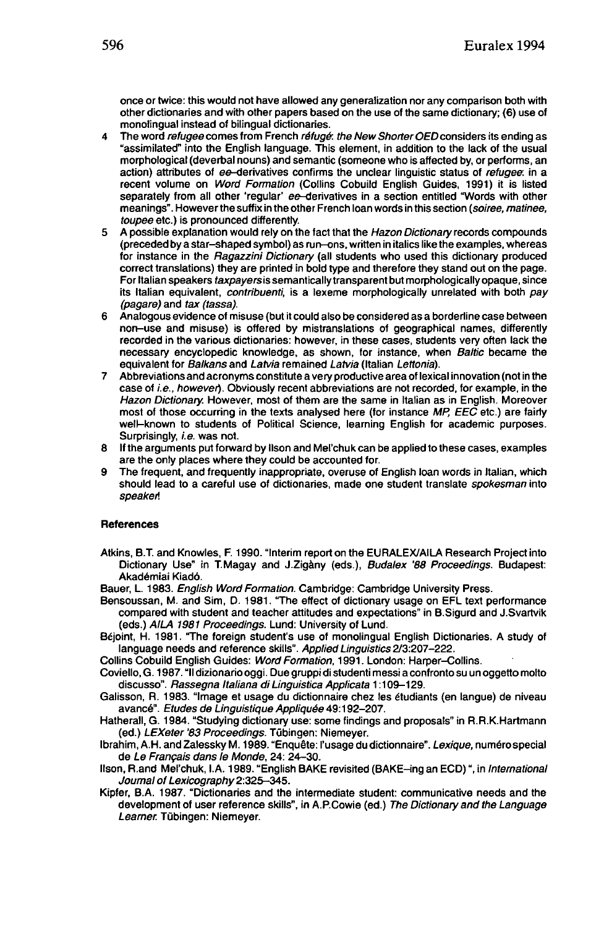once or twice: this would not have allowed any generalization nor any comparison both with other dictionaries and with other papers based on the use of the same dictionary; (6) use of monolingual instead of bilingual dictionaries.

- 4 The word refugee comes from French réfugé, the New Shorter OED considers its ending as "assimilated" into the English language. This element, in addition to the lack of the usual morphological (déverbal nouns) and semantic (someone who is affected by, or performs, an action) attributes of ee-derivatives confirms the unclear linguistic status of refugee in a recent volume on Word Formation (Collins Cobuild English Guides, 1991) it is listed separately from all other 'regular' ee-derivatives in a section entitled "Words with other meanings". However the suffix in the other French loan words in this section {soiree, matinee, toupee etc.) is pronounced differently.
- 5 A possible explanation would rely on the fact that the Hazon Dictionary records compounds (preceded by a star-shaped symbol) as run-ons, written in italics like the examples, whereas for instance in the Ragazzini Dictionary (all students who used this dictionary produced correct translations) they are printed in bold type and therefore they stand out on the page. For Italian speakers taxpayers is semantically transparent but morphologically opaque, since its Italian equivalent, *contribuenti*, is a lexeme morphologically unrelated with both pay (pagare) and tax (tassa).
- 6 Analogous evidence of misuse (but it could also be considered as a borderline case between non-use and misuse) is offered by mistranslations of geographical names, differently recorded in the various dictionaries: however, in these cases, students very often lack the necessary encyclopedic knowledge, as shown, for instance, when Baltic became the equivalent for Balkans and Latvia remained Latvia (Italian Lettonia).
- 7 Abbreviations and acronyms constitute a very productive area of lexical innovation (not in the case of i.e., however). Obviously recent abbreviations are not recorded, for example, in the Hazon Dictionary. However, most of them are the same in Italian as in English. Moreover most of those occurring in the texts analysed here (for instance MP, EEC etc.) are fairly well-known to students of Political Science, learning English for academic purposes. Surprisingly, i.e. was not.
- 8 If the arguments put forward by llson and Mel'chuk can be applied to these cases, examples are the only places where they could be accounted for.
- 9 The frequent, and frequently inappropriate, overuse of English loan words in Italian, which should lead to a careful use of dictionaries, made one student translate spokesman into speaker!

#### **References**

Atkins, B.T. and Knowles, F. 1990. "Interim report on the EURALEX/AILA Research Project into Dictionary Use" in T.Magay and J.Zigàny (eds.), Budalex '88 Proceedings. Budapest: Akadémiai Kiadô.

Bauer, L. 1983. English Word Formation. Cambridge: Cambridge University Press.

- Bensoussan, M. and Sim, D. 1981. "The effect of dictionary usage on EFL text performance compared with student and teacher attitudes and expectations" in B.Sigurd and J.Svartvik (eds.) AILA 1981 Proceedings. Lund: University of Lund.
- Béjoint, H. 1981. "The foreign student's use of monolingual English Dictionaries. A study of language needs and reference skills". Applied Linguistics 2/3:207-222.
- Collins Cobuild English Guides: Word Formation, 1991. London: Harper-Collins.
- Coviello, G. 1987. "II dizionariooggi. Due gruppi di •tudenti messi a confronto su un oggetto molto discusso". Rassegna Italiana di Linguistica Applicata 1:109-129.
- Galisson, R. 1983. "Image et usage du dictionnaire chez les étudiants (en langue) de niveau avancé". Etudes de Linguistique Appliquée 49:192-207.
- Hatherall, G. 1984. "Studying dictionary use: some findings and proposals" in R.R.K.Hartmann (ed.) LEXeter '83 Proceedings. Tübingen: Niemeyer.

Ibrahim, A.H. and Zalessky M. 1989. "Enquête: l'usage du dictionnaire". Lexique, numéro special de Le Français dans le Monde, 24: 24-30.

- Ilson, R.and Mel'chuk, I.A. 1989. "English BAKE revisited (BAKE-ing an ECD)", in International Journal of Lexicography 2:325-345.
- Kipfer, B.A. 1987. "Dictionaries and the intermediate student: communicative needs and the development of user reference skills", in A.P.Cowie (ed.) The Dictionary and the Language Learner. Tübingen: Niemeyer.